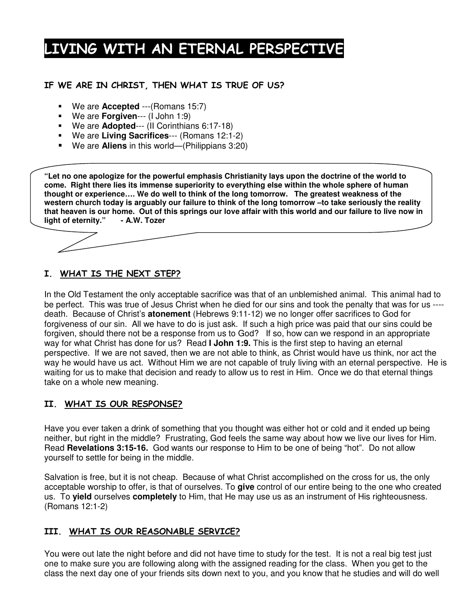# LIVING WITH AN ETERNAL PERSPECTIVE

### IF WE ARE IN CHRIST, THEN WHAT IS TRUE OF US?

- We are **Accepted** ---(Romans 15:7)
- We are **Forgiven**--- (I John 1:9)
- We are **Adopted**--- (II Corinthians 6:17-18)
- We are **Living Sacrifices**--- (Romans 12:1-2)
- We are **Aliens** in this world—(Philippians 3:20)

**"Let no one apologize for the powerful emphasis Christianity lays upon the doctrine of the world to come. Right there lies its immense superiority to everything else within the whole sphere of human thought or experience…. We do well to think of the long tomorrow. The greatest weakness of the** western church today is arguably our failure to think of the long tomorrow - to take seriously the reality that heaven is our home. Out of this springs our love affair with this world and our failure to live now in **light of eternity." - A.W. Tozer**

## <u>I. WHAT IS THE NEXT STEP?</u>

In the Old Testament the only acceptable sacrifice was that of an unblemished animal. This animal had to be perfect. This was true of Jesus Christ when he died for our sins and took the penalty that was for us --- death. Because of Christ's **atonement** (Hebrews 9:11-12) we no longer offer sacrifices to God for forgiveness of our sin. All we have to do is just ask. If such a high price was paid that our sins could be forgiven, should there not be a response from us to God? If so, how can we respond in an appropriate way for what Christ has done for us? Read **I John 1:9.** This is the first step to having an eternal perspective. If we are not saved, then we are not able to think, as Christ would have us think, nor act the way he would have us act. Without Him we are not capable of truly living with an eternal perspective. He is waiting for us to make that decision and ready to allow us to rest in Him. Once we do that eternal things take on a whole new meaning.

## II. WHAT IS OUR RESPONSE?

Have you ever taken a drink of something that you thought was either hot or cold and it ended up being neither, but right in the middle? Frustrating, God feels the same way about how we live our lives for Him. Read **Revelations 3:15-16.** God wants our response to Him to be one of being "hot". Do not allow yourself to settle for being in the middle.

Salvation is free, but it is not cheap. Because of what Christ accomplished on the cross for us, the only acceptable worship to offer, is that of ourselves. To **give** control of our entire being to the one who created us. To **yield** ourselves **completely** to Him, that He may use us as an instrument of His righteousness. (Romans 12:1-2)

### <u>III. WHAT IS OUR REASONABLE SERVICE?</u>

You were out late the night before and did not have time to study for the test. It is not a real big test just one to make sure you are following along with the assigned reading for the class. When you get to the class the next day one of your friends sits down next to you, and you know that he studies and will do well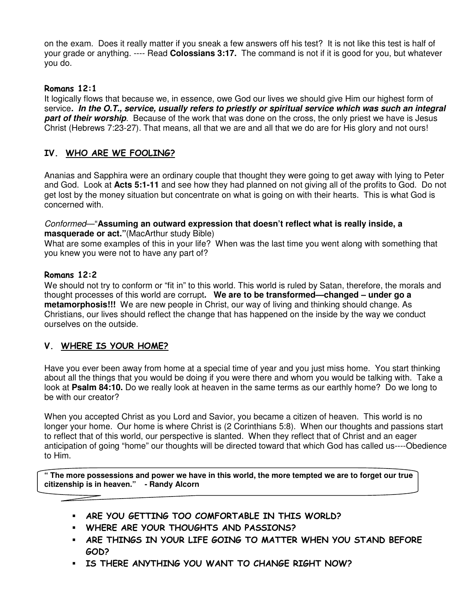on the exam. Does it really matter if you sneak a few answers off his test? It is not like this test is half of your grade or anything. ---- Read **Colossians 3:17.** The command is not if it is good for you, but whatever you do.

#### Romans 12:1

It logically flows that because we, in essence, owe God our lives we should give Him our highest form of service*. In the O.T., service, usually refers to priestly or spiritual service which was such an integral part of their worship*. Because of the work that was done on the cross, the only priest we have is Jesus Christ (Hebrews 7:23-27). That means, all that we are and all that we do are for His glory and not ours!

#### IV. WHO ARE WE FOOLING?

Ananias and Sapphira were an ordinary couple that thought they were going to get away with lying to Peter and God. Look at **Acts 5:1-11** and see how they had planned on not giving all of the profits to God. Do not get lost by the money situation but concentrate on what is going on with their hearts. This is what God is concerned with.

#### *Conformed*—"**Assuming an outward expression that doesn't reflect what is really inside, a masquerade or act."**(MacArthur study Bible)

What are some examples of this in your life? When was the last time you went along with something that you knew you were not to have any part of?

#### Romans 12:2

We should not try to conform or "fit in" to this world. This world is ruled by Satan, therefore, the morals and thought processes of this world are corrupt**. We are to be transformed—changed – under go a metamorphosis!!!** We are new people in Christ, our way of living and thinking should change. As Christians, our lives should reflect the change that has happened on the inside by the way we conduct ourselves on the outside.

### V. WHERE IS YOUR HOME?

Have you ever been away from home at a special time of year and you just miss home. You start thinking about all the things that you would be doing if you were there and whom you would be talking with. Take a look at **Psalm 84:10.** Do we really look at heaven in the same terms as our earthly home? Do we long to be with our creator?

When you accepted Christ as you Lord and Savior, you became a citizen of heaven. This world is no longer your home. Our home is where Christ is (2 Corinthians 5:8). When our thoughts and passions start to reflect that of this world, our perspective is slanted. When they reflect that of Christ and an eager anticipation of going "home" our thoughts will be directed toward that which God has called us----Obedience to Him.

" The more possessions and power we have in this world, the more tempted we are to forget our true **citizenship is in heaven." - Randy Alcorn**

- . ARE YOU GETTING TOO COMFORTABLE IN THIS WORLD?
- . WHERE ARE YOUR THOUGHTS AND PASSIONS?
- . ARE THINGS IN YOUR LIFE GOING TO MATTER WHEN YOU STAND BEFORE GOD?
- IS THERE ANYTHING YOU WANT TO CHANGE RIGHT NOW?